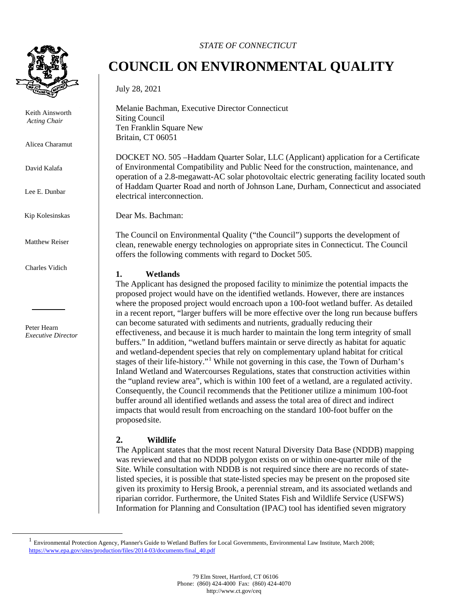

Keith Ainsworth *Acting Chair* 

Alicea Charamut

David Kalafa

Lee E. Dunbar

Kip Kolesinskas

Matthew Reiser

Charles Vidich

Peter Hearn *Executive Director*

#### *STATE OF CONNECTICUT*

# **COUNCIL ON ENVIRONMENTAL QUALITY**

July 28, 2021

Melanie Bachman, Executive Director Connecticut Siting Council Ten Franklin Square New Britain, CT 06051

DOCKET NO. 505 –Haddam Quarter Solar, LLC (Applicant) application for a Certificate of Environmental Compatibility and Public Need for the construction, maintenance, and operation of a 2.8-megawatt-AC solar photovoltaic electric generating facility located south of Haddam Quarter Road and north of Johnson Lane, Durham, Connecticut and associated electrical interconnection.

Dear Ms. Bachman:

The Council on Environmental Quality ("the Council") supports the development of clean, renewable energy technologies on appropriate sites in Connecticut. The Council offers the following comments with regard to Docket 505.

#### **1. Wetlands**

The Applicant has designed the proposed facility to minimize the potential impacts the proposed project would have on the identified wetlands. However, there are instances where the proposed project would encroach upon a 100-foot wetland buffer. As detailed in a recent report, "larger buffers will be more effective over the long run because buffers can become saturated with sediments and nutrients, gradually reducing their effectiveness, and because it is much harder to maintain the long term integrity of small buffers." In addition, "wetland buffers maintain or serve directly as habitat for aquatic and wetland-dependent species that rely on complementary upland habitat for critical stages of their life-history."<sup>[1](#page-0-0)</sup> While not governing in this case, the Town of Durham's Inland Wetland and Watercourses Regulations, states that construction activities within the "upland review area", which is within 100 feet of a wetland, are a regulated activity. Consequently, the Council recommends that the Petitioner utilize a minimum 100-foot buffer around all identified wetlands and assess the total area of direct and indirect impacts that would result from encroaching on the standard 100-foot buffer on the proposedsite.

## **2. Wildlife**

The Applicant states that the most recent Natural Diversity Data Base (NDDB) mapping was reviewed and that no NDDB polygon exists on or within one-quarter mile of the Site. While consultation with NDDB is not required since there are no records of statelisted species, it is possible that state-listed species may be present on the proposed site given its proximity to Hersig Brook, a perennial stream, and its associated wetlands and riparian corridor. Furthermore, the United States Fish and Wildlife Service (USFWS) Information for Planning and Consultation (IPAC) tool has identified seven migratory

<span id="page-0-0"></span> $<sup>1</sup>$  Environmental Protection Agency, Planner's Guide to Wetland Buffers for Local Governments, Environmental Law Institute, March 2008;</sup> [https://www.epa.gov/sites/production/files/2014-03/documents/final\\_40.pdf](https://www.epa.gov/sites/production/files/2014-03/documents/final_40.pdf)